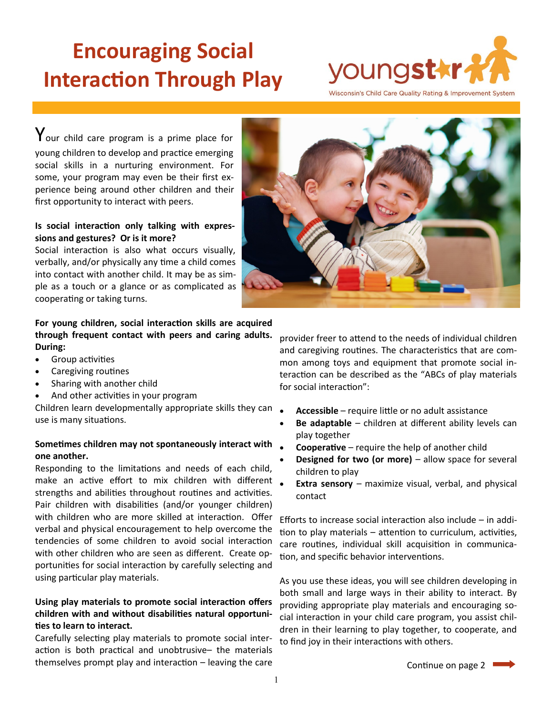# **Encouraging Social Interaction Through Play**



 $\gamma$ our child care program is a prime place for young children to develop and practice emerging social skills in a nurturing environment. For some, your program may even be their first experience being around other children and their first opportunity to interact with peers.

## **Is social interaction only talking with expressions and gestures? Or is it more?**

Social interaction is also what occurs visually, verbally, and/or physically any time a child comes into contact with another child. It may be as simple as a touch or a glance or as complicated as cooperating or taking turns.

## **For young children, social interaction skills are acquired through frequent contact with peers and caring adults. During:**

- Group activities
- Caregiving routines
- Sharing with another child
- And other activities in your program

Children learn developmentally appropriate skills they can use is many situations.

# **Sometimes children may not spontaneously interact with one another.**

Responding to the limitations and needs of each child, make an active effort to mix children with different strengths and abilities throughout routines and activities. Pair children with disabilities (and/or younger children) with children who are more skilled at interaction. Offer verbal and physical encouragement to help overcome the tendencies of some children to avoid social interaction with other children who are seen as different. Create opportunities for social interaction by carefully selecting and using particular play materials.

# **Using play materials to promote social interaction offers children with and without disabilities natural opportunities to learn to interact.**

Carefully selecting play materials to promote social interaction is both practical and unobtrusive– the materials themselves prompt play and interaction – leaving the care



provider freer to attend to the needs of individual children and caregiving routines. The characteristics that are common among toys and equipment that promote social interaction can be described as the "ABCs of play materials for social interaction":

- **Accessible** require little or no adult assistance
- **Be adaptable**  children at different ability levels can play together
- **Cooperative** require the help of another child
- **Designed for two (or more)** allow space for several children to play
- **Extra sensory**  maximize visual, verbal, and physical contact

Efforts to increase social interaction also include – in addition to play materials – attention to curriculum, activities, care routines, individual skill acquisition in communication, and specific behavior interventions.

As you use these ideas, you will see children developing in both small and large ways in their ability to interact. By providing appropriate play materials and encouraging social interaction in your child care program, you assist children in their learning to play together, to cooperate, and to find joy in their interactions with others.